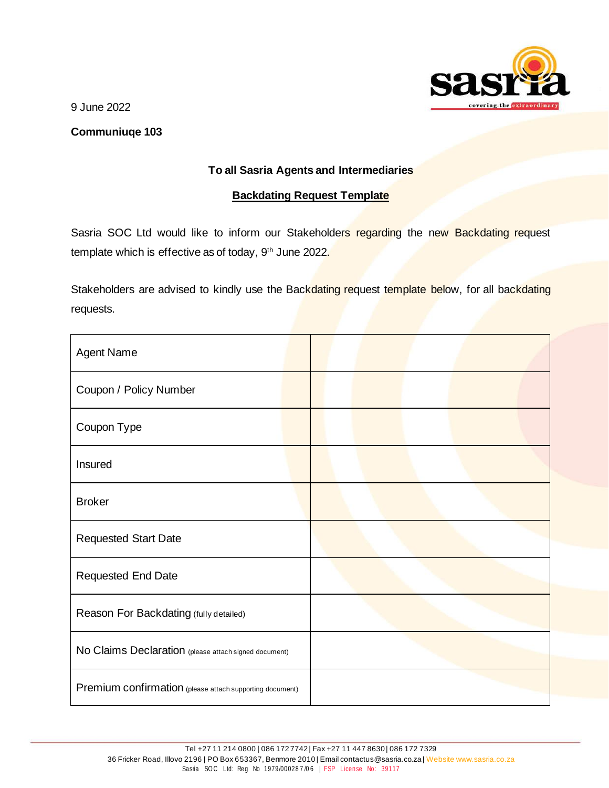

9 June 2022

## **Communiuqe 103**

## **To all Sasria Agents and Intermediaries**

## **Backdating Request Template**

Sasria SOC Ltd would like to inform our Stakeholders regarding the new Backdating request template which is effective as of today, 9<sup>th</sup> June 2022.

Stakeholders are advised to kindly use the Backdating request template below, for all backdating requests.

| <b>Agent Name</b>                                        |  |
|----------------------------------------------------------|--|
| Coupon / Policy Number                                   |  |
| Coupon Type                                              |  |
| Insured                                                  |  |
| <b>Broker</b>                                            |  |
| <b>Requested Start Date</b>                              |  |
| Requested End Date                                       |  |
| Reason For Backdating (fully detailed)                   |  |
| No Claims Declaration (please attach signed document)    |  |
| Premium confirmation (please attach supporting document) |  |